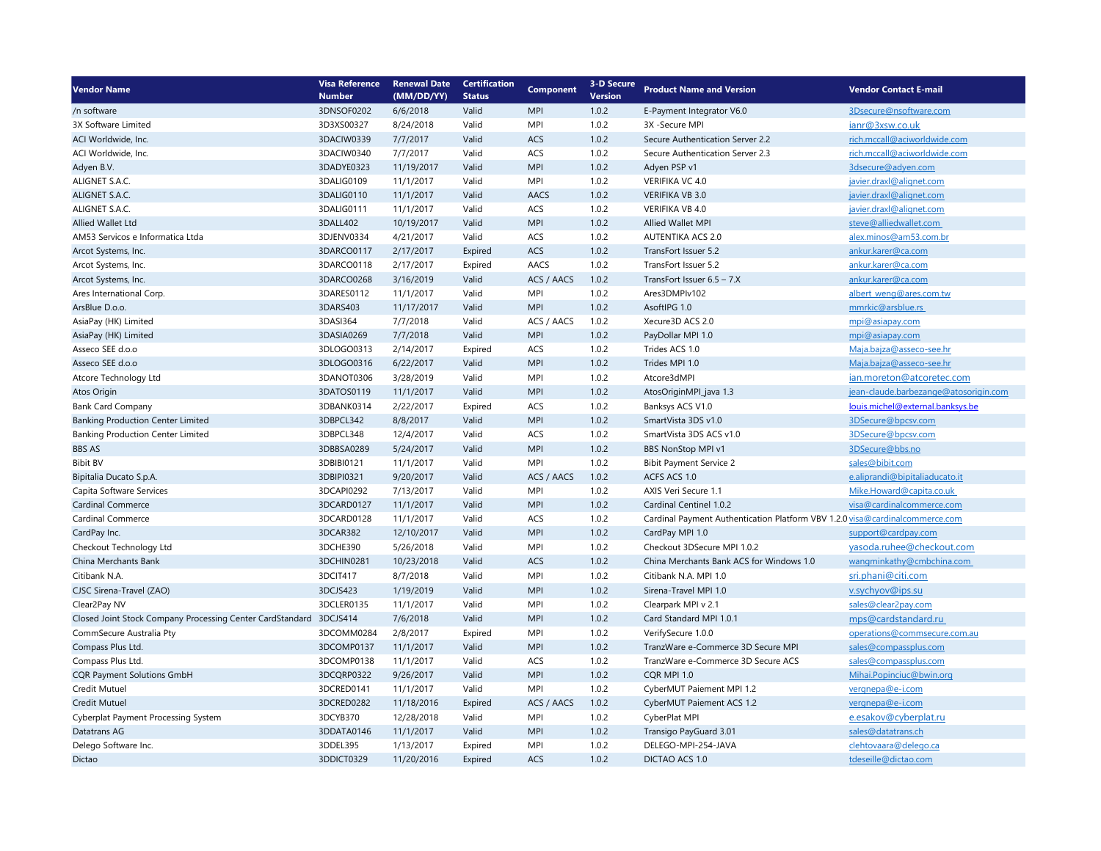| <b>Vendor Name</b>                                                 | <b>Visa Reference</b> | <b>Renewal Date</b> | <b>Certification</b> | <b>Component</b><br><b>Version</b> | <b>3-D Secure</b> |                                                                              | <b>Vendor Contact E-mail</b>          |
|--------------------------------------------------------------------|-----------------------|---------------------|----------------------|------------------------------------|-------------------|------------------------------------------------------------------------------|---------------------------------------|
|                                                                    | <b>Number</b>         | (MM/DD/YY)          | <b>Status</b>        |                                    |                   | <b>Product Name and Version</b>                                              |                                       |
| /n software                                                        | 3DNSOF0202            | 6/6/2018            | Valid                | <b>MPI</b>                         | 1.0.2             | E-Payment Integrator V6.0                                                    | 3Dsecure@nsoftware.com                |
| 3X Software Limited                                                | 3D3XS00327            | 8/24/2018           | Valid                | <b>MPI</b>                         | 1.0.2             | 3X -Secure MPI                                                               | ianr@3xsw.co.uk                       |
| ACI Worldwide, Inc.                                                | 3DACIW0339            | 7/7/2017            | Valid                | ACS                                | 1.0.2             | Secure Authentication Server 2.2                                             | rich.mccall@aciworldwide.com          |
| ACI Worldwide, Inc.                                                | 3DACIW0340            | 7/7/2017            | Valid                | ACS                                | 1.0.2             | Secure Authentication Server 2.3                                             | rich.mccall@aciworldwide.com          |
| Adyen B.V.                                                         | 3DADYE0323            | 11/19/2017          | Valid                | <b>MPI</b>                         | 1.0.2             | Adyen PSP v1                                                                 | 3dsecure@adyen.com                    |
| ALIGNET S.A.C.                                                     | 3DALIG0109            | 11/1/2017           | Valid                | MPI                                | 1.0.2             | VERIFIKA VC 4.0                                                              | javier.draxl@alignet.com              |
| ALIGNET S.A.C.                                                     | 3DALIG0110            | 11/1/2017           | Valid                | AACS                               | 1.0.2             | <b>VERIFIKA VB 3.0</b>                                                       | javier.draxl@alignet.com              |
| ALIGNET S.A.C.                                                     | 3DALIG0111            | 11/1/2017           | Valid                | ACS                                | 1.0.2             | VERIFIKA VB 4.0                                                              | javier.draxl@alignet.com              |
| Allied Wallet Ltd                                                  | 3DALL402              | 10/19/2017          | Valid                | <b>MPI</b>                         | 1.0.2             | <b>Allied Wallet MPI</b>                                                     | steve@alliedwallet.com                |
| AM53 Servicos e Informatica Ltda                                   | 3DJENV0334            | 4/21/2017           | Valid                | ACS                                | 1.0.2             | <b>AUTENTIKA ACS 2.0</b>                                                     | alex.minos@am53.com.br                |
| Arcot Systems, Inc.                                                | 3DARCO0117            | 2/17/2017           | Expired              | ACS                                | 1.0.2             | TransFort Issuer 5.2                                                         | ankur.karer@ca.com                    |
| Arcot Systems, Inc.                                                | 3DARCO0118            | 2/17/2017           | Expired              | AACS                               | 1.0.2             | TransFort Issuer 5.2                                                         | ankur.karer@ca.com                    |
| Arcot Systems, Inc.                                                | 3DARCO0268            | 3/16/2019           | Valid                | ACS / AACS                         | 1.0.2             | TransFort Issuer 6.5 - 7.X                                                   | ankur.karer@ca.com                    |
| Ares International Corp.                                           | 3DARES0112            | 11/1/2017           | Valid                | <b>MPI</b>                         | 1.0.2             | Ares3DMPIv102                                                                | albert_weng@ares.com.tw               |
| ArsBlue D.o.o.                                                     | 3DARS403              | 11/17/2017          | Valid                | <b>MPI</b>                         | 1.0.2             | AsoftIPG 1.0                                                                 | mmrkic@arsblue.rs                     |
| AsiaPay (HK) Limited                                               | 3DASI364              | 7/7/2018            | Valid                | ACS / AACS                         | 1.0.2             | Xecure3D ACS 2.0                                                             | mpi@asiapay.com                       |
| AsiaPay (HK) Limited                                               | 3DASIA0269            | 7/7/2018            | Valid                | <b>MPI</b>                         | 1.0.2             | PayDollar MPI 1.0                                                            | mpi@asiapay.com                       |
| Asseco SEE d.o.o                                                   | 3DLOGO0313            | 2/14/2017           | Expired              | ACS                                | 1.0.2             | Trides ACS 1.0                                                               | Maja.bajza@asseco-see.hr              |
| Asseco SEE d.o.o                                                   | 3DLOGO0316            | 6/22/2017           | Valid                | <b>MPI</b>                         | 1.0.2             | Trides MPI 1.0                                                               | Maja.bajza@asseco-see.hr              |
| Atcore Technology Ltd                                              | 3DANOT0306            | 3/28/2019           | Valid                | MPI                                | 1.0.2             | Atcore3dMPI                                                                  | ian.moreton@atcoretec.com             |
| Atos Origin                                                        | 3DATOS0119            | 11/1/2017           | Valid                | <b>MPI</b>                         | 1.0.2             | AtosOriginMPI_java 1.3                                                       | jean-claude.barbezange@atosorigin.com |
| <b>Bank Card Company</b>                                           | 3DBANK0314            | 2/22/2017           | Expired              | ACS                                | 1.0.2             | Banksys ACS V1.0                                                             | louis.michel@external.banksys.be      |
| <b>Banking Production Center Limited</b>                           | 3DBPCL342             | 8/8/2017            | Valid                | <b>MPI</b>                         | 1.0.2             | SmartVista 3DS v1.0                                                          | 3DSecure@bpcsv.com                    |
| <b>Banking Production Center Limited</b>                           | 3DBPCL348             | 12/4/2017           | Valid                | ACS                                | 1.0.2             | SmartVista 3DS ACS v1.0                                                      | 3DSecure@bpcsv.com                    |
| <b>BBS AS</b>                                                      | 3DBBSA0289            | 5/24/2017           | Valid                | <b>MPI</b>                         | 1.0.2             | BBS NonStop MPI v1                                                           | 3DSecure@bbs.no                       |
| <b>Bibit BV</b>                                                    | 3DBIBI0121            | 11/1/2017           | Valid                | <b>MPI</b>                         | 1.0.2             | <b>Bibit Payment Service 2</b>                                               | sales@bibit.com                       |
| Bipitalia Ducato S.p.A.                                            | 3DBIPI0321            | 9/20/2017           | Valid                | ACS / AACS                         | 1.0.2             | ACFS ACS 1.0                                                                 | e.aliprandi@bipitaliaducato.it        |
| Capita Software Services                                           | 3DCAPI0292            | 7/13/2017           | Valid                | <b>MPI</b>                         | 1.0.2             | AXIS Veri Secure 1.1                                                         | Mike.Howard@capita.co.uk              |
| <b>Cardinal Commerce</b>                                           | 3DCARD0127            | 11/1/2017           | Valid                | <b>MPI</b>                         | 1.0.2             | Cardinal Centinel 1.0.2                                                      | visa@cardinalcommerce.com             |
| Cardinal Commerce                                                  | 3DCARD0128            | 11/1/2017           | Valid                | ACS                                | 1.0.2             | Cardinal Payment Authentication Platform VBV 1.2.0 visa@cardinalcommerce.com |                                       |
| CardPay Inc.                                                       | 3DCAR382              | 12/10/2017          | Valid                | <b>MPI</b>                         | 1.0.2             | CardPay MPI 1.0                                                              | support@cardpay.com                   |
| Checkout Technology Ltd                                            | 3DCHE390              | 5/26/2018           | Valid                | <b>MPI</b>                         | 1.0.2             | Checkout 3D Secure MPI 1.0.2                                                 | yasoda.ruhee@checkout.com             |
| China Merchants Bank                                               | 3DCHIN0281            | 10/23/2018          | Valid                | <b>ACS</b>                         | 1.0.2             | China Merchants Bank ACS for Windows 1.0                                     | wangminkathy@cmbchina.com             |
| Citibank N.A.                                                      | 3DCIT417              | 8/7/2018            | Valid                | MPI                                | 1.0.2             | Citibank N.A. MPI 1.0                                                        | sri.phani@citi.com                    |
| CJSC Sirena-Travel (ZAO)                                           | 3DCJS423              | 1/19/2019           | Valid                | <b>MPI</b>                         | 1.0.2             | Sirena-Travel MPI 1.0                                                        | v.sychyov@ips.su                      |
| Clear2Pay NV                                                       | 3DCLER0135            | 11/1/2017           | Valid                | MPI                                | 1.0.2             | Clearpark MPI v 2.1                                                          | sales@clear2pay.com                   |
| Closed Joint Stock Company Processing Center CardStandard 3DCJS414 |                       | 7/6/2018            | Valid                | <b>MPI</b>                         | 1.0.2             | Card Standard MPI 1.0.1                                                      | mps@cardstandard.ru                   |
| CommSecure Australia Pty                                           | 3DCOMM0284            | 2/8/2017            | Expired              | <b>MPI</b>                         | 1.0.2             | VerifySecure 1.0.0                                                           | operations@commsecure.com.au          |
| Compass Plus Ltd.                                                  | 3DCOMP0137            | 11/1/2017           | Valid                | <b>MPI</b>                         | 1.0.2             | TranzWare e-Commerce 3D Secure MPI                                           | sales@compassplus.com                 |
| Compass Plus Ltd.                                                  | 3DCOMP0138            | 11/1/2017           | Valid                | ACS                                | 1.0.2             | TranzWare e-Commerce 3D Secure ACS                                           | sales@compassplus.com                 |
| <b>CQR Payment Solutions GmbH</b>                                  | 3DCQRP0322            | 9/26/2017           | Valid                | <b>MPI</b>                         | 1.0.2             | COR MPI 1.0                                                                  | Mihai.Popinciuc@bwin.org              |
| Credit Mutuel                                                      | 3DCRED0141            | 11/1/2017           | Valid                | <b>MPI</b>                         | 1.0.2             | CyberMUT Paiement MPI 1.2                                                    | vergnepa@e-i.com                      |
| Credit Mutuel                                                      | 3DCRED0282            | 11/18/2016          | Expired              | ACS / AACS                         | 1.0.2             | CyberMUT Paiement ACS 1.2                                                    | vergnepa@e-i.com                      |
| Cyberplat Payment Processing System                                | 3DCYB370              | 12/28/2018          | Valid                | <b>MPI</b>                         | 1.0.2             | CyberPlat MPI                                                                | e.esakov@cyberplat.ru                 |
| Datatrans AG                                                       | 3DDATA0146            | 11/1/2017           | Valid                | <b>MPI</b>                         | 1.0.2             | Transigo PayGuard 3.01                                                       | sales@datatrans.ch                    |
| Delego Software Inc.                                               | 3DDEL395              | 1/13/2017           | Expired              | <b>MPI</b>                         | 1.0.2             | DELEGO-MPI-254-JAVA                                                          | clehtovaara@delego.ca                 |
| Dictao                                                             | 3DDICT0329            | 11/20/2016          | Expired              | ACS                                | 1.0.2             | DICTAO ACS 1.0                                                               | tdeseille@dictao.com                  |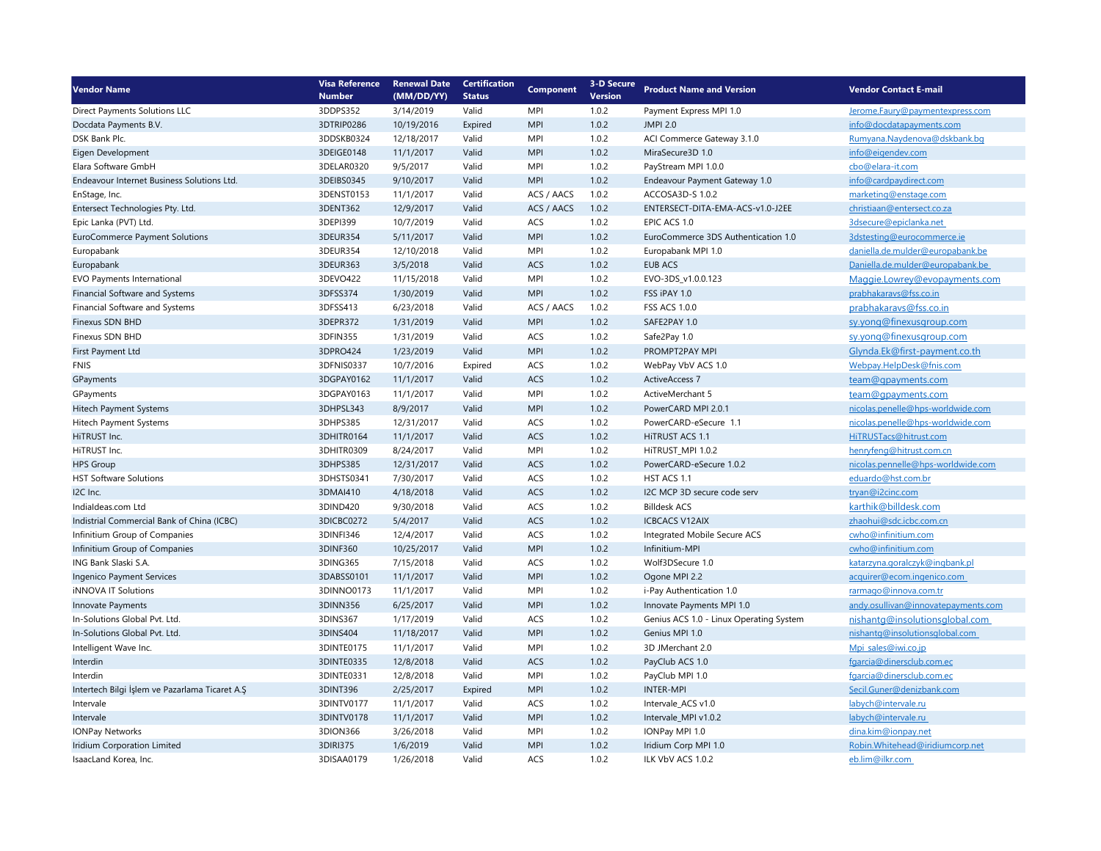| <b>Vendor Name</b>                             | <b>Visa Reference</b> | <b>Renewal Date</b> | <b>Certification</b> | <b>Component</b> | 3-D Secure     | <b>Product Name and Version</b>         | <b>Vendor Contact E-mail</b>        |
|------------------------------------------------|-----------------------|---------------------|----------------------|------------------|----------------|-----------------------------------------|-------------------------------------|
|                                                | <b>Number</b>         | (MM/DD/YY)          | <b>Status</b>        |                  | <b>Version</b> |                                         |                                     |
| Direct Payments Solutions LLC                  | 3DDPS352              | 3/14/2019           | Valid                | <b>MPI</b>       | 1.0.2          | Payment Express MPI 1.0                 | Jerome.Faury@paymentexpress.com     |
| Docdata Payments B.V.                          | 3DTRIP0286            | 10/19/2016          | Expired              | <b>MPI</b>       | 1.0.2          | <b>JMPI 2.0</b>                         | info@docdatapayments.com            |
| DSK Bank Plc.                                  | 3DDSKB0324            | 12/18/2017          | Valid                | <b>MPI</b>       | 1.0.2          | ACI Commerce Gateway 3.1.0              | Rumyana.Naydenova@dskbank.bq        |
| Eigen Development                              | 3DEIGE0148            | 11/1/2017           | Valid                | <b>MPI</b>       | 1.0.2          | MiraSecure3D 1.0                        | info@eigendev.com                   |
| Elara Software GmbH                            | 3DELAR0320            | 9/5/2017            | Valid                | <b>MPI</b>       | 1.0.2          | PayStream MPI 1.0.0                     | cbo@elara-it.com                    |
| Endeavour Internet Business Solutions Ltd.     | 3DEIBS0345            | 9/10/2017           | Valid                | <b>MPI</b>       | 1.0.2          | Endeavour Payment Gateway 1.0           | info@cardpaydirect.com              |
| EnStage, Inc.                                  | 3DENST0153            | 11/1/2017           | Valid                | ACS / AACS       | 1.0.2          | ACCOSA3D-S 1.0.2                        | marketing@enstage.com               |
| Entersect Technologies Pty. Ltd.               | 3DENT362              | 12/9/2017           | Valid                | ACS / AACS       | 1.0.2          | ENTERSECT-DITA-EMA-ACS-v1.0-J2EE        | christiaan@entersect.co.za          |
| Epic Lanka (PVT) Ltd.                          | 3DEPI399              | 10/7/2019           | Valid                | ACS              | 1.0.2          | EPIC ACS 1.0                            | 3dsecure@epiclanka.net              |
| EuroCommerce Payment Solutions                 | 3DEUR354              | 5/11/2017           | Valid                | <b>MPI</b>       | 1.0.2          | EuroCommerce 3DS Authentication 1.0     | 3dstesting@eurocommerce.ie          |
| Europabank                                     | 3DEUR354              | 12/10/2018          | Valid                | <b>MPI</b>       | 1.0.2          | Europabank MPI 1.0                      | daniella.de.mulder@europabank.be    |
| Europabank                                     | 3DEUR363              | 3/5/2018            | Valid                | ACS              | 1.0.2          | <b>EUB ACS</b>                          | Daniella.de.mulder@europabank.be    |
| <b>EVO Payments International</b>              | 3DEVO422              | 11/15/2018          | Valid                | <b>MPI</b>       | 1.0.2          | EVO-3DS_v1.0.0.123                      | Maggie.Lowrey@evopayments.com       |
| Financial Software and Systems                 | 3DFSS374              | 1/30/2019           | Valid                | <b>MPI</b>       | 1.0.2          | FSS iPAY 1.0                            | prabhakaravs@fss.co.in              |
| Financial Software and Systems                 | 3DFSS413              | 6/23/2018           | Valid                | ACS / AACS       | 1.0.2          | <b>FSS ACS 1.0.0</b>                    | prabhakaravs@fss.co.in              |
| Finexus SDN BHD                                | 3DEPR372              | 1/31/2019           | Valid                | <b>MPI</b>       | 1.0.2          | SAFE2PAY 1.0                            | sy.yong@finexusgroup.com            |
| Finexus SDN BHD                                | 3DFIN355              | 1/31/2019           | Valid                | ACS              | 1.0.2          | Safe2Pay 1.0                            | sy.yong@finexusgroup.com            |
| First Payment Ltd                              | 3DPRO424              | 1/23/2019           | Valid                | <b>MPI</b>       | 1.0.2          | PROMPT2PAY MPI                          | Glynda.Ek@first-payment.co.th       |
| <b>FNIS</b>                                    | 3DFNIS0337            | 10/7/2016           | Expired              | ACS              | 1.0.2          | WebPay VbV ACS 1.0                      | Webpay.HelpDesk@fnis.com            |
| GPayments                                      | 3DGPAY0162            | 11/1/2017           | Valid                | ACS              | 1.0.2          | <b>ActiveAccess 7</b>                   | team@gpayments.com                  |
| GPayments                                      | 3DGPAY0163            | 11/1/2017           | Valid                | <b>MPI</b>       | 1.0.2          | ActiveMerchant 5                        | team@gpayments.com                  |
| Hitech Payment Systems                         | 3DHPSL343             | 8/9/2017            | Valid                | <b>MPI</b>       | 1.0.2          | PowerCARD MPI 2.0.1                     | nicolas.penelle@hps-worldwide.com   |
| Hitech Payment Systems                         | 3DHPS385              | 12/31/2017          | Valid                | ACS              | 1.0.2          | PowerCARD-eSecure 1.1                   | nicolas.penelle@hps-worldwide.com   |
| HiTRUST Inc.                                   | 3DHITR0164            | 11/1/2017           | Valid                | ACS              | 1.0.2          | HITRUST ACS 1.1                         | HiTRUSTacs@hitrust.com              |
| HiTRUST Inc.                                   | 3DHITR0309            | 8/24/2017           | Valid                | <b>MPI</b>       | 1.0.2          | HITRUST MPI 1.0.2                       | henryfeng@hitrust.com.cn            |
| <b>HPS Group</b>                               | 3DHPS385              | 12/31/2017          | Valid                | ACS              | 1.0.2          | PowerCARD-eSecure 1.0.2                 | nicolas.pennelle@hps-worldwide.com  |
| <b>HST Software Solutions</b>                  | 3DHSTS0341            | 7/30/2017           | Valid                | ACS              | 1.0.2          | HST ACS 1.1                             | eduardo@hst.com.br                  |
| I2C Inc.                                       | 3DMAI410              | 4/18/2018           | Valid                | ACS              | 1.0.2          | I2C MCP 3D secure code serv             | tryan@i2cinc.com                    |
| Indialdeas.com Ltd                             | 3DIND420              | 9/30/2018           | Valid                | ACS              | 1.0.2          | <b>Billdesk ACS</b>                     | karthik@billdesk.com                |
| Indistrial Commercial Bank of China (ICBC)     | 3DICBC0272            | 5/4/2017            | Valid                | ACS              | 1.0.2          | <b>ICBCACS V12AIX</b>                   | zhaohui@sdc.icbc.com.cn             |
| Infinitium Group of Companies                  | 3DINF1346             | 12/4/2017           | Valid                | ACS              | 1.0.2          | Integrated Mobile Secure ACS            | cwho@infinitium.com                 |
| Infinitium Group of Companies                  | 3DINF360              | 10/25/2017          | Valid                | <b>MPI</b>       | 1.0.2          | Infinitium-MPI                          | cwho@infinitium.com                 |
| ING Bank Slaski S.A.                           | 3DING365              | 7/15/2018           | Valid                | ACS              | 1.0.2          | Wolf3DSecure 1.0                        | katarzyna.goralczyk@ingbank.pl      |
| Ingenico Payment Services                      | 3DABSS0101            | 11/1/2017           | Valid                | <b>MPI</b>       | 1.0.2          | Ogone MPI 2.2                           | acquirer@ecom.ingenico.com          |
| <b>iNNOVA IT Solutions</b>                     | 3DINNO0173            | 11/1/2017           | Valid                | <b>MPI</b>       | 1.0.2          | i-Pay Authentication 1.0                | rarmago@innova.com.tr               |
| Innovate Payments                              | 3DINN356              | 6/25/2017           | Valid                | <b>MPI</b>       | 1.0.2          | Innovate Payments MPI 1.0               | andy.osullivan@innovatepayments.com |
| In-Solutions Global Pvt. Ltd.                  | 3DINS367              | 1/17/2019           | Valid                | ACS              | 1.0.2          | Genius ACS 1.0 - Linux Operating System | nishantq@insolutionsqlobal.com      |
| In-Solutions Global Pvt. Ltd.                  | 3DINS404              | 11/18/2017          | Valid                | <b>MPI</b>       | 1.0.2          | Genius MPI 1.0                          | nishantq@insolutionsqlobal.com      |
| Intelligent Wave Inc.                          | 3DINTE0175            | 11/1/2017           | Valid                | <b>MPI</b>       | 1.0.2          | 3D JMerchant 2.0                        | Mpi sales@iwi.co.jp                 |
| Interdin                                       | 3DINTE0335            | 12/8/2018           | Valid                | ACS              | 1.0.2          | PayClub ACS 1.0                         | fgarcia@dinersclub.com.ec           |
| Interdin                                       | 3DINTE0331            | 12/8/2018           | Valid                | <b>MPI</b>       | 1.0.2          | PayClub MPI 1.0                         | fgarcia@dinersclub.com.ec           |
| Intertech Bilgi İşlem ve Pazarlama Ticaret A.Ş | 3DINT396              | 2/25/2017           | Expired              | <b>MPI</b>       | 1.0.2          | <b>INTER-MPI</b>                        | Secil.Guner@denizbank.com           |
| Intervale                                      | 3DINTV0177            | 11/1/2017           | Valid                | ACS              | 1.0.2          | Intervale_ACS v1.0                      | labych@intervale.ru                 |
| Intervale                                      | 3DINTV0178            | 11/1/2017           | Valid                | <b>MPI</b>       | 1.0.2          | Intervale_MPI v1.0.2                    | labych@intervale.ru                 |
| <b>IONPay Networks</b>                         | 3DION366              | 3/26/2018           | Valid                | <b>MPI</b>       | 1.0.2          | IONPay MPI 1.0                          | dina.kim@ionpay.net                 |
| Iridium Corporation Limited                    | 3DIRI375              | 1/6/2019            | Valid                | <b>MPI</b>       | 1.0.2          | Iridium Corp MPI 1.0                    | Robin.Whitehead@iridiumcorp.net     |
| IsaacLand Korea, Inc.                          | 3DISAA0179            | 1/26/2018           | Valid                | ACS              | 1.0.2          | ILK VbV ACS 1.0.2                       | eb.lim@ilkr.com                     |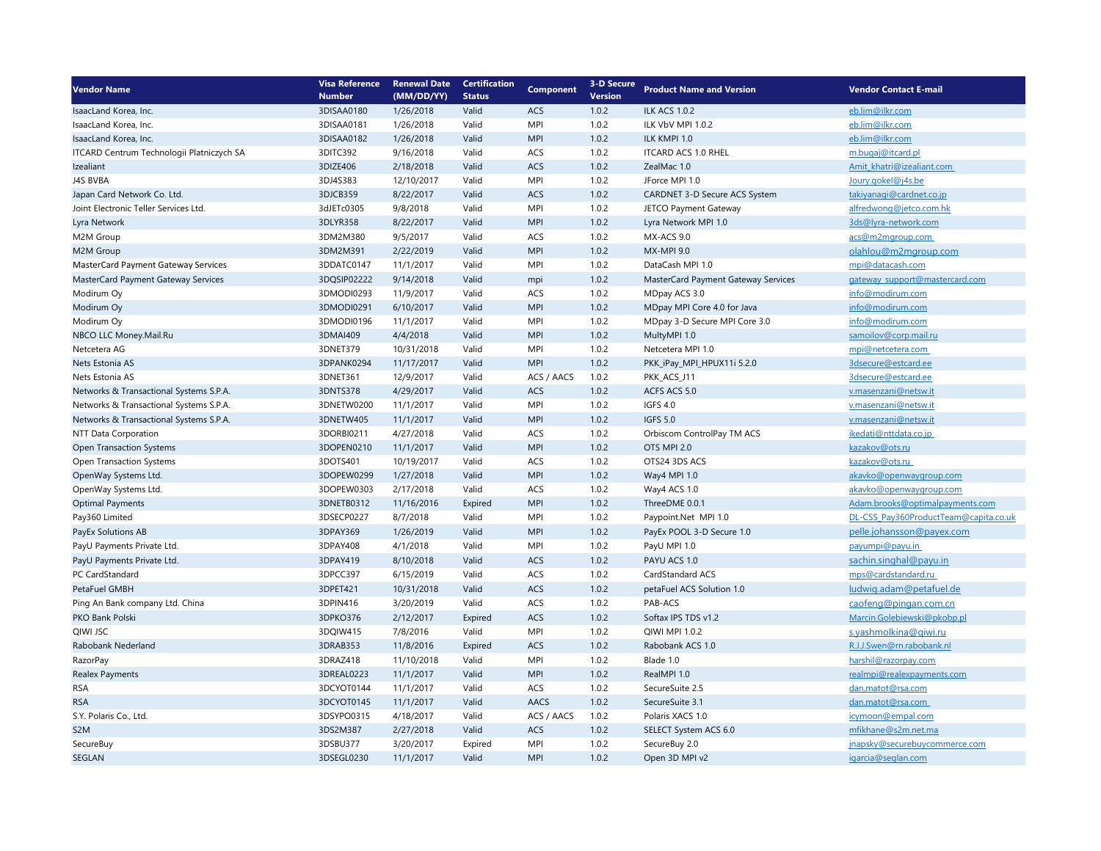| <b>Vendor Name</b>                         | <b>Visa Reference</b> | <b>Renewal Date</b> | <b>Certification</b> | <b>Component</b> | <b>3-D Secure</b> |                                     | <b>Vendor Contact E-mail</b>          |
|--------------------------------------------|-----------------------|---------------------|----------------------|------------------|-------------------|-------------------------------------|---------------------------------------|
|                                            | <b>Number</b>         | (MM/DD/YY)          | <b>Status</b>        |                  | <b>Version</b>    | <b>Product Name and Version</b>     |                                       |
| IsaacLand Korea, Inc.                      | 3DISAA0180            | 1/26/2018           | Valid                | ACS              | 1.0.2             | <b>ILK ACS 1.0.2</b>                | eb.lim@ilkr.com                       |
| IsaacLand Korea, Inc.                      | 3DISAA0181            | 1/26/2018           | Valid                | <b>MPI</b>       | 1.0.2             | ILK VbV MPI 1.0.2                   | eb.lim@ilkr.com                       |
| IsaacLand Korea, Inc.                      | 3DISAA0182            | 1/26/2018           | Valid                | <b>MPI</b>       | 1.0.2             | ILK KMPI 1.0                        | eb.lim@ilkr.com                       |
| ITCARD Centrum Technologii Platniczych SA  | 3DITC392              | 9/16/2018           | Valid                | ACS              | 1.0.2             | <b>ITCARD ACS 1.0 RHEL</b>          | m.bugaj@itcard.pl                     |
| Izealiant                                  | 3DIZE406              | 2/18/2018           | Valid                | <b>ACS</b>       | 1.0.2             | ZealMac 1.0                         | Amit_khatri@izealiant.com             |
| J4S BVBA                                   | 3DJ4S383              | 12/10/2017          | Valid                | <b>MPI</b>       | 1.0.2             | JForce MPI 1.0                      | Joury.gokel@j4s.be                    |
| Japan Card Network Co. Ltd.                | 3DJCB359              | 8/22/2017           | Valid                | ACS              | 1.0.2             | CARDNET 3-D Secure ACS System       | takiyanagi@cardnet.co.jp              |
| Joint Electronic Teller Services Ltd.      | 3dJETc0305            | 9/8/2018            | Valid                | MPI              | 1.0.2             | JETCO Payment Gateway               | alfredwong@jetco.com.hk               |
| Lyra Network                               | 3DLYR358              | 8/22/2017           | Valid                | <b>MPI</b>       | 1.0.2             | Lyra Network MPI 1.0                | 3ds@lyra-network.com                  |
| M2M Group                                  | 3DM2M380              | 9/5/2017            | Valid                | ACS              | 1.0.2             | MX-ACS 9.0                          | acs@m2mgroup.com                      |
| M2M Group                                  | 3DM2M391              | 2/22/2019           | Valid                | <b>MPI</b>       | 1.0.2             | <b>MX-MPI 9.0</b>                   | olahlou@m2mgroup.com                  |
| <b>MasterCard Payment Gateway Services</b> | 3DDATC0147            | 11/1/2017           | Valid                | <b>MPI</b>       | 1.0.2             | DataCash MPI 1.0                    | mpi@datacash.com                      |
| MasterCard Payment Gateway Services        | 3DQSIP02222           | 9/14/2018           | Valid                | mpi              | 1.0.2             | MasterCard Payment Gateway Services | gateway_support@mastercard.com        |
| Modirum Oy                                 | 3DMODI0293            | 11/9/2017           | Valid                | ACS              | 1.0.2             | MDpay ACS 3.0                       | info@modirum.com                      |
| Modirum Oy                                 | 3DMODI0291            | 6/10/2017           | Valid                | <b>MPI</b>       | 1.0.2             | MDpay MPI Core 4.0 for Java         | info@modirum.com                      |
| Modirum Oy                                 | 3DMODI0196            | 11/1/2017           | Valid                | <b>MPI</b>       | 1.0.2             | MDpay 3-D Secure MPI Core 3.0       | info@modirum.com                      |
| NBCO LLC Money.Mail.Ru                     | 3DMAI409              | 4/4/2018            | Valid                | <b>MPI</b>       | 1.0.2             | MultyMPI 1.0                        | samoilov@corp.mail.ru                 |
| Netcetera AG                               | 3DNET379              | 10/31/2018          | Valid                | <b>MPI</b>       | 1.0.2             | Netcetera MPI 1.0                   | mpi@netcetera.com                     |
| Nets Estonia AS                            | 3DPANK0294            | 11/17/2017          | Valid                | <b>MPI</b>       | 1.0.2             | PKK_iPay_MPI_HPUX11i 5.2.0          | 3dsecure@estcard.ee                   |
| Nets Estonia AS                            | 3DNET361              | 12/9/2017           | Valid                | ACS / AACS       | 1.0.2             | PKK_ACS_J11                         | 3dsecure@estcard.ee                   |
| Networks & Transactional Systems S.P.A.    | 3DNTS378              | 4/29/2017           | Valid                | ACS              | 1.0.2             | ACFS ACS 5.0                        | v.masenzani@netsw.it                  |
| Networks & Transactional Systems S.P.A.    | 3DNETW0200            | 11/1/2017           | Valid                | MPI              | 1.0.2             | <b>IGFS 4.0</b>                     | v.masenzani@netsw.it                  |
| Networks & Transactional Systems S.P.A.    | 3DNETW405             | 11/1/2017           | Valid                | <b>MPI</b>       | 1.0.2             | <b>IGFS 5.0</b>                     | v.masenzani@netsw.it                  |
| NTT Data Corporation                       | 3DORBI0211            | 4/27/2018           | Valid                | ACS              | 1.0.2             | Orbiscom ControlPay TM ACS          | ikedati@nttdata.co.jp                 |
| Open Transaction Systems                   | 3DOPEN0210            | 11/1/2017           | Valid                | <b>MPI</b>       | 1.0.2             | OTS MPI 2.0                         | kazakov@ots.ru                        |
| Open Transaction Systems                   | 3DOTS401              | 10/19/2017          | Valid                | ACS              | 1.0.2             | OTS24 3DS ACS                       | kazakov@ots.ru                        |
| OpenWay Systems Ltd.                       | 3DOPEW0299            | 1/27/2018           | Valid                | <b>MPI</b>       | 1.0.2             | Way4 MPI 1.0                        | akavko@openwaygroup.com               |
| OpenWay Systems Ltd.                       | 3DOPEW0303            | 2/17/2018           | Valid                | ACS              | 1.0.2             | Way4 ACS 1.0                        | akavko@openwaygroup.com               |
| <b>Optimal Payments</b>                    | 3DNETB0312            | 11/16/2016          | Expired              | <b>MPI</b>       | 1.0.2             | ThreeDME 0.0.1                      | Adam.brooks@optimalpayments.com       |
| Pay360 Limited                             | 3DSECP0227            | 8/7/2018            | Valid                | <b>MPI</b>       | 1.0.2             | Paypoint.Net MPI 1.0                | DL-CSS_Pay360ProductTeam@capita.co.uk |
| PayEx Solutions AB                         | 3DPAY369              | 1/26/2019           | Valid                | <b>MPI</b>       | 1.0.2             | PayEx POOL 3-D Secure 1.0           | pelle.johansson@payex.com             |
| PayU Payments Private Ltd.                 | 3DPAY408              | 4/1/2018            | Valid                | MPI              | 1.0.2             | PayU MPI 1.0                        | payumpi@payu.in                       |
| PayU Payments Private Ltd.                 | 3DPAY419              | 8/10/2018           | Valid                | ACS              | 1.0.2             | PAYU ACS 1.0                        | sachin.singhal@payu.in                |
| PC CardStandard                            | 3DPCC397              | 6/15/2019           | Valid                | ACS              | 1.0.2             | <b>CardStandard ACS</b>             | mps@cardstandard.ru                   |
| PetaFuel GMBH                              | 3DPET421              | 10/31/2018          | Valid                | ACS              | 1.0.2             | petaFuel ACS Solution 1.0           | ludwig.adam@petafuel.de               |
| Ping An Bank company Ltd. China            | 3DPIN416              | 3/20/2019           | Valid                | ACS              | 1.0.2             | PAB-ACS                             | caofeng@pingan.com.cn                 |
| PKO Bank Polski                            | 3DPKO376              | 2/12/2017           | Expired              | ACS              | 1.0.2             | Softax IPS TDS v1.2                 | Marcin.Golebiewski@pkobp.pl           |
| QIWI JSC                                   | 3DQIW415              | 7/8/2016            | Valid                | MPI              | 1.0.2             | QIWI MPI 1.0.2                      | s.yashmolkina@qiwi.ru                 |
| Rabobank Nederland                         | 3DRAB353              | 11/8/2016           | Expired              | ACS              | 1.0.2             | Rabobank ACS 1.0                    | R.J.J.Swen@rn.rabobank.nl             |
| <b>RazorPay</b>                            | 3DRAZ418              | 11/10/2018          | Valid                | <b>MPI</b>       | 1.0.2             | Blade 1.0                           | harshil@razorpay.com                  |
| <b>Realex Payments</b>                     | 3DREAL0223            | 11/1/2017           | Valid                | <b>MPI</b>       | 1.0.2             | RealMPI 1.0                         | realmpi@realexpayments.com            |
| <b>RSA</b>                                 | 3DCYOT0144            | 11/1/2017           | Valid                | ACS              | 1.0.2             | SecureSuite 2.5                     | dan.matot@rsa.com                     |
| <b>RSA</b>                                 | 3DCYOT0145            | 11/1/2017           | Valid                | AACS             | 1.0.2             | SecureSuite 3.1                     | dan.matot@rsa.com                     |
| S.Y. Polaris Co., Ltd.                     | 3DSYPO0315            | 4/18/2017           | Valid                | ACS / AACS       | 1.0.2             | Polaris XACS 1.0                    | icymoon@empal.com                     |
| S <sub>2</sub> M                           | 3DS2M387              | 2/27/2018           | Valid                | ACS              | 1.0.2             | SELECT System ACS 6.0               | mfikhane@s2m.net.ma                   |
| SecureBuy                                  | 3DSBU377              | 3/20/2017           | Expired              | <b>MPI</b>       | 1.0.2             | SecureBuy 2.0                       | jnapsky@securebuycommerce.com         |
| SEGLAN                                     | 3DSEGL0230            | 11/1/2017           | Valid                | <b>MPI</b>       | 1.0.2             | Open 3D MPI v2                      | igarcia@seglan.com                    |